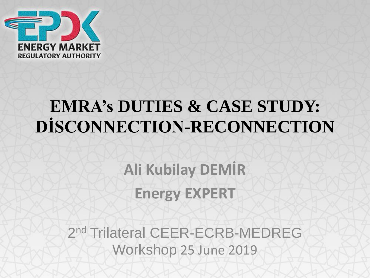

## **EMRA's DUTIES & CASE STUDY: DİSCONNECTION-RECONNECTION**

**Ali Kubilay DEMİR Energy EXPERT**

2<sup>nd</sup> Trilateral CEER-ECRB-MEDREG Workshop 25 June 2019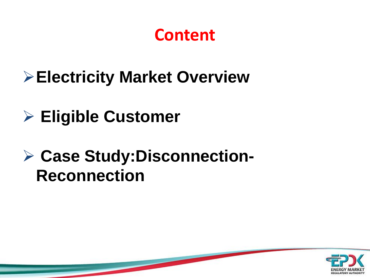## **Content**

- ➢**Electricity Market Overview**
- ➢ **Eligible Customer**

## ➢ **Case Study:Disconnection-Reconnection**

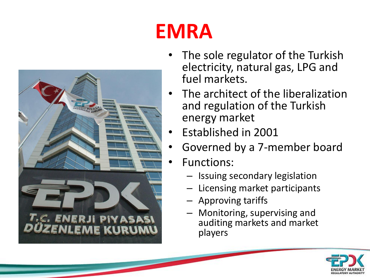

# **EMRA**

- The sole regulator of the Turkish electricity, natural gas, LPG and fuel markets.
- The architect of the liberalization and regulation of the Turkish energy market
- Established in 2001
- Governed by a 7-member board
- Functions:
	- Issuing secondary legislation
	- Licensing market participants
	- Approving tariffs
	- Monitoring, supervising and auditing markets and market players

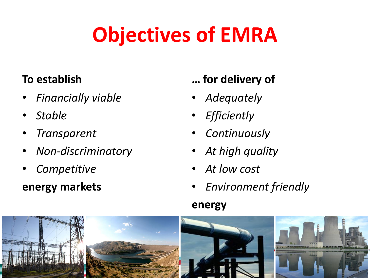# **Objectives of EMRA**

#### **To establish**

- *Financially viable*
- *Stable*
- *Transparent*
- *Non-discriminatory*
- *Competitive*

#### **energy markets**

#### **… for delivery of**

- *Adequately*
- *Efficiently*
- *Continuously*
- *At high quality*
- *At low cost*
- *Environment friendly*

#### **energy**

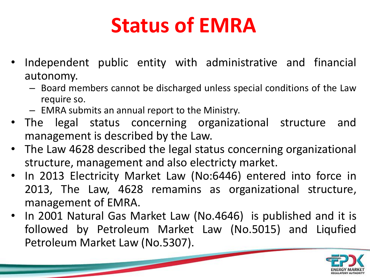# **Status of EMRA**

- Independent public entity with administrative and financial autonomy.
	- Board members cannot be discharged unless special conditions of the Law require so.
	- EMRA submits an annual report to the Ministry.
- The legal status concerning organizational structure and management is described by the Law.
- The Law 4628 described the legal status concerning organizational structure, management and also electricty market.
- In 2013 Electricity Market Law (No:6446) entered into force in 2013, The Law, 4628 remamins as organizational structure, management of EMRA.
- In 2001 Natural Gas Market Law (No.4646) is published and it is followed by Petroleum Market Law (No.5015) and Liqufied Petroleum Market Law (No.5307).

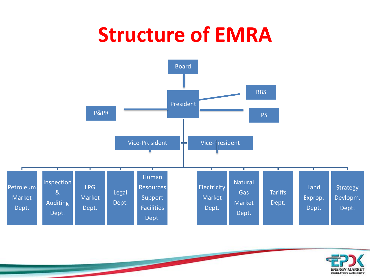# **Structure of EMRA**



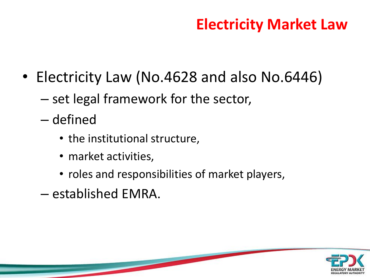### **Electricity Market Law**

- Electricity Law (No.4628 and also No.6446)
	- set legal framework for the sector,
	- defined
		- the institutional structure,
		- market activities,
		- roles and responsibilities of market players,
	- established EMRA.

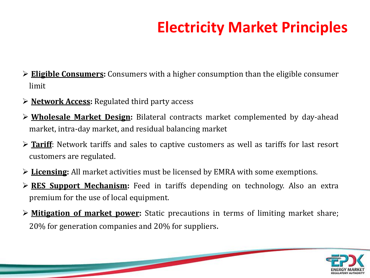## **Electricity Market Principles**

- ➢ **Eligible Consumers:** Consumers with a higher consumption than the eligible consumer limit
- ➢ **Network Access:** Regulated third party access
- ➢ **Wholesale Market Design:** Bilateral contracts market complemented by day-ahead market, intra-day market, and residual balancing market
- ➢ **Tariff**: Network tariffs and sales to captive customers as well as tariffs for last resort customers are regulated.
- ➢ **Licensing:** All market activities must be licensed by EMRA with some exemptions.
- ➢ **RES Support Mechanism:** Feed in tariffs depending on technology. Also an extra premium for the use of local equipment.
- ➢ **Mitigation of market power:** Static precautions in terms of limiting market share; 20% for generation companies and 20% for suppliers.

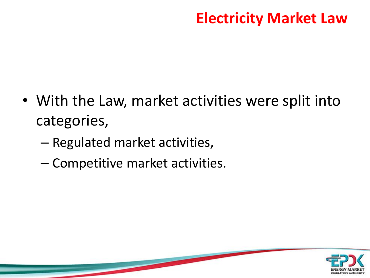### **Electricity Market Law**

- With the Law, market activities were split into categories,
	- Regulated market activities,
	- Competitive market activities.

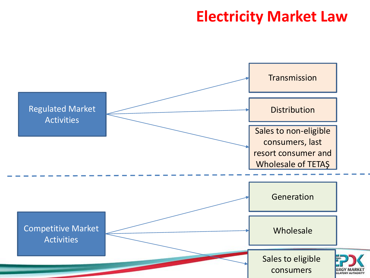#### **Electricity Market Law**

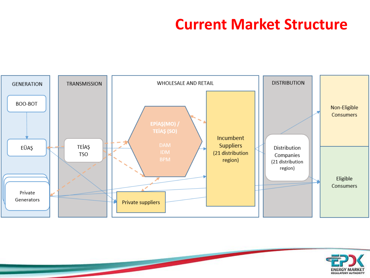#### **Current Market Structure**



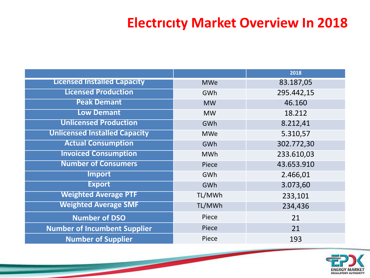#### **Electrıcıty Market Overview In 2018**

|                                      |            | 2018       |
|--------------------------------------|------------|------------|
| <b>Licensed Installed Capacity</b>   | <b>MWe</b> | 83.187,05  |
| <b>Licensed Production</b>           | GWh        | 295.442,15 |
| <b>Peak Demant</b>                   | <b>MW</b>  | 46.160     |
| <b>Low Demant</b>                    | <b>MW</b>  | 18.212     |
| <b>Unlicensed Production</b>         | GWh        | 8.212,41   |
| <b>Unlicensed Installed Capacity</b> | <b>MWe</b> | 5.310,57   |
| <b>Actual Consumption</b>            | GWh        | 302.772,30 |
| <b>Invoiced Consumption</b>          | <b>MWh</b> | 233.610,03 |
| <b>Number of Consumers</b>           | Piece      | 43.653.910 |
| <b>Import</b>                        | GWh        | 2.466,01   |
| <b>Export</b>                        | GWh        | 3.073,60   |
| <b>Weighted Average PTF</b>          | TL/MWh     | 233,101    |
| <b>Weighted Average SMF</b>          | TL/MWh     | 234,436    |
| <b>Number of DSO</b>                 | Piece      | 21         |
| <b>Number of Incumbent Supplier</b>  | Piece      | 21         |
| <b>Number of Supplier</b>            | Piece      | 193        |

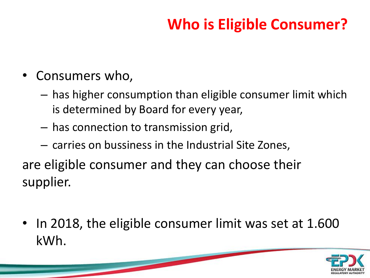## **Who is Eligible Consumer?**

- Consumers who,
	- has higher consumption than eligible consumer limit which is determined by Board for every year,
	- has connection to transmission grid,
	- carries on bussiness in the Industrial Site Zones,

are eligible consumer and they can choose their supplier.

• In 2018, the eligible consumer limit was set at 1.600 kWh.

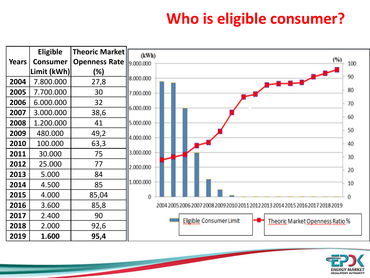### **Who is eligible consumer?**



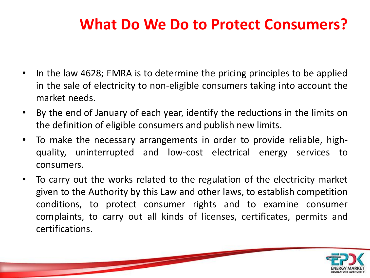### **What Do We Do to Protect Consumers?**

- In the law 4628; EMRA is to determine the pricing principles to be applied in the sale of electricity to non-eligible consumers taking into account the market needs.
- By the end of January of each year, identify the reductions in the limits on the definition of eligible consumers and publish new limits.
- To make the necessary arrangements in order to provide reliable, highquality, uninterrupted and low-cost electrical energy services to consumers.
- To carry out the works related to the regulation of the electricity market given to the Authority by this Law and other laws, to establish competition conditions, to protect consumer rights and to examine consumer complaints, to carry out all kinds of licenses, certificates, permits and certifications.

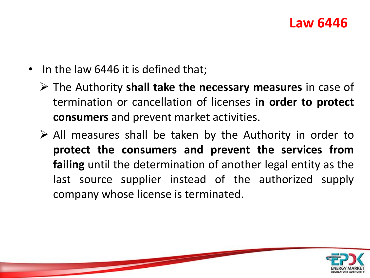#### **Law 6446**

- In the law 6446 it is defined that;
	- ➢ The Authority **shall take the necessary measures** in case of termination or cancellation of licenses **in order to protect consumers** and prevent market activities.
	- $\triangleright$  All measures shall be taken by the Authority in order to **protect the consumers and prevent the services from failing** until the determination of another legal entity as the last source supplier instead of the authorized supply company whose license is terminated.

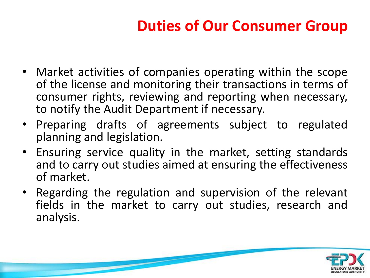## **Duties of Our Consumer Group**

- Market activities of companies operating within the scope of the license and monitoring their transactions in terms of consumer rights, reviewing and reporting when necessary, to notify the Audit Department if necessary.
- Preparing drafts of agreements subject to regulated planning and legislation.
- Ensuring service quality in the market, setting standards and to carry out studies aimed at ensuring the effectiveness of market.
- Regarding the regulation and supervision of the relevant fields in the market to carry out studies, research and analysis.

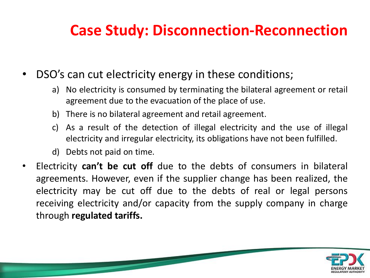### **Case Study: Disconnection-Reconnection**

- DSO's can cut electricity energy in these conditions;
	- a) No electricity is consumed by terminating the bilateral agreement or retail agreement due to the evacuation of the place of use.
	- b) There is no bilateral agreement and retail agreement.
	- c) As a result of the detection of illegal electricity and the use of illegal electricity and irregular electricity, its obligations have not been fulfilled.
	- d) Debts not paid on time.
- Electricity **can't be cut off** due to the debts of consumers in bilateral agreements. However, even if the supplier change has been realized, the electricity may be cut off due to the debts of real or legal persons receiving electricity and/or capacity from the supply company in charge through **regulated tariffs.**

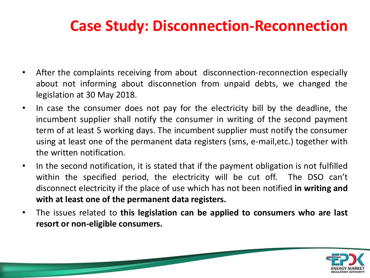### **Case Study: Disconnection-Reconnection**

- After the complaints receiving from about disconnection-reconnection especially about not informing about disconnetion from unpaid debts, we changed the legislation at 30 May 2018.
- In case the consumer does not pay for the electricity bill by the deadline, the incumbent supplier shall notify the consumer in writing of the second payment term of at least 5 working days. The incumbent supplier must notify the consumer using at least one of the permanent data registers (sms, e-mail,etc.) together with the written notification.
- In the second notification, it is stated that if the payment obligation is not fulfilled within the specified period, the electricity will be cut off. The DSO can't disconnect electricity if the place of use which has not been notified **in writing and with at least one of the permanent data registers.**
- The issues related to **this legislation can be applied to consumers who are last resort or non-eligible consumers.**